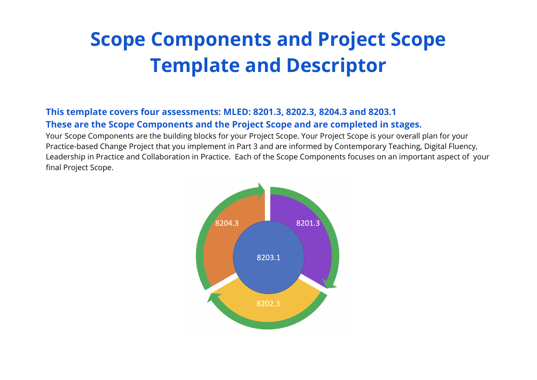## **Scope Components and Project Scope Template and Descriptor**

## **This template covers four assessments: MLED: 8201.3, 8202.3, 8204.3 and 8203.1 These are the Scope Components and the Project Scope and are completed in stages.**

Your Scope Components are the building blocks for your Project Scope. Your Project Scope is your overall plan for your Practice-based Change Project that you implement in Part 3 and are informed by Contemporary Teaching, Digital Fluency, Leadership in Practice and Collaboration in Practice. Each of the Scope Components focuses on an important aspect of your final Project Scope.

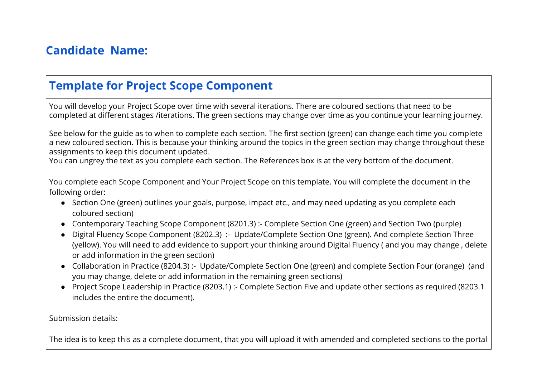## **Candidate Name:**

## **Template for Project Scope Component**

You will develop your Project Scope over time with several iterations. There are coloured sections that need to be completed at different stages /iterations. The green sections may change over time as you continue your learning journey.

See below for the guide as to when to complete each section. The first section (green) can change each time you complete a new coloured section. This is because your thinking around the topics in the green section may change throughout these assignments to keep this document updated.

You can ungrey the text as you complete each section. The References box is at the very bottom of the document.

You complete each Scope Component and Your Project Scope on this template. You will complete the document in the following order:

- Section One (green) outlines your goals, purpose, impact etc., and may need updating as you complete each coloured section)
- Contemporary Teaching Scope Component (8201.3) :- Complete Section One (green) and Section Two (purple)
- Digital Fluency Scope Component (8202.3) :- Update/Complete Section One (green). And complete Section Three (yellow). You will need to add evidence to support your thinking around Digital Fluency ( and you may change , delete or add information in the green section)
- Collaboration in Practice (8204.3) :- Update/Complete Section One (green) and complete Section Four (orange) (and you may change, delete or add information in the remaining green sections)
- Project Scope Leadership in Practice (8203.1) :- Complete Section Five and update other sections as required (8203.1 includes the entire the document).

Submission details:

The idea is to keep this as a complete document, that you will upload it with amended and completed sections to the portal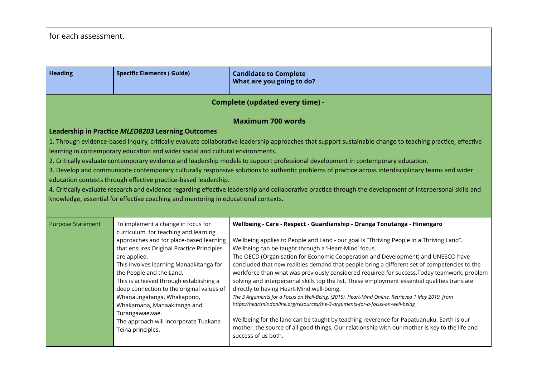| for each assessment.                                                                                                                                       |                                                                 |                                                                                                                                                                                            |
|------------------------------------------------------------------------------------------------------------------------------------------------------------|-----------------------------------------------------------------|--------------------------------------------------------------------------------------------------------------------------------------------------------------------------------------------|
|                                                                                                                                                            |                                                                 |                                                                                                                                                                                            |
|                                                                                                                                                            |                                                                 |                                                                                                                                                                                            |
| <b>Heading</b>                                                                                                                                             | <b>Specific Elements (Guide)</b>                                | <b>Candidate to Complete</b><br>What are you going to do?                                                                                                                                  |
|                                                                                                                                                            |                                                                 | <b>Complete (updated every time) -</b>                                                                                                                                                     |
| <b>Maximum 700 words</b>                                                                                                                                   |                                                                 |                                                                                                                                                                                            |
|                                                                                                                                                            | Leadership in Practice MLED8203 Learning Outcomes               |                                                                                                                                                                                            |
| 1. Through evidence-based inquiry, critically evaluate collaborative leadership approaches that support sustainable change to teaching practice, effective |                                                                 |                                                                                                                                                                                            |
| learning in contemporary education and wider social and cultural environments.                                                                             |                                                                 |                                                                                                                                                                                            |
|                                                                                                                                                            |                                                                 | 2. Critically evaluate contemporary evidence and leadership models to support professional development in contemporary education.                                                          |
|                                                                                                                                                            |                                                                 | 3. Develop and communicate contemporary culturally responsive solutions to authentic problems of practice across interdisciplinary teams and wider                                         |
|                                                                                                                                                            | education contexts through effective practice-based leadership. | 4. Critically evaluate research and evidence regarding effective leadership and collaborative practice through the development of interpersonal skills and                                 |
|                                                                                                                                                            |                                                                 |                                                                                                                                                                                            |
| knowledge, essential for effective coaching and mentoring in educational contexts.                                                                         |                                                                 |                                                                                                                                                                                            |
| <b>Purpose Statement</b>                                                                                                                                   | To implement a change in focus for                              | Wellbeing - Care - Respect - Guardianship - Oranga Tonutanga - Hinengaro                                                                                                                   |
|                                                                                                                                                            | curriculum, for teaching and learning                           |                                                                                                                                                                                            |
|                                                                                                                                                            | approaches and for place-based learning                         | Wellbeing applies to People and Land - our goal is "Thriving People in a Thriving Land".                                                                                                   |
|                                                                                                                                                            | that ensures Original Practice Principles                       | Wellbeing can be taught through a 'Heart-Mind' focus.                                                                                                                                      |
|                                                                                                                                                            | are applied.<br>This involves learning Manaakitanga for         | The OECD (Organisation for Economic Cooperation and Development) and UNESCO have<br>concluded that new realities demand that people bring a different set of competencies to the           |
|                                                                                                                                                            | the People and the Land.                                        | workforce than what was previously considered required for success. Today teamwork, problem                                                                                                |
|                                                                                                                                                            | This is achieved through establishing a                         | solving and interpersonal skills top the list. These employment essential qualities translate                                                                                              |
|                                                                                                                                                            | deep connection to the original values of                       | directly to having Heart-Mind well-being.<br>The 3 Arguments for a Focus on Well-Being. (2015). Heart-Mind Online. Retrieved 1 May 2019, from                                              |
|                                                                                                                                                            | Whanaungatanga, Whakapono,<br>Whakamana, Manaakitanga and       | https://heartmindonline.org/resources/the-3-arguments-for-a-focus-on-well-being                                                                                                            |
|                                                                                                                                                            | Turangawaewae.                                                  |                                                                                                                                                                                            |
|                                                                                                                                                            | The approach will incorporate Tuakana                           | Wellbeing for the land can be taught by teaching reverence for Papatuanuku. Earth is our<br>mother, the source of all good things. Our relationship with our mother is key to the life and |
|                                                                                                                                                            | Teina principles.                                               | success of us both.                                                                                                                                                                        |
|                                                                                                                                                            |                                                                 |                                                                                                                                                                                            |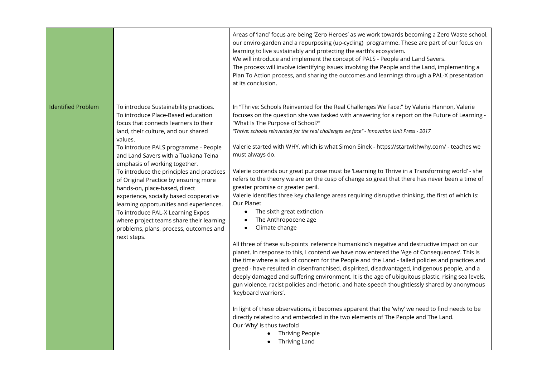|                           |                                                                                                                                                                                                                                                                                                                                                                                                                                                                                                                                                                                                                                                | Areas of 'land' focus are being 'Zero Heroes' as we work towards becoming a Zero Waste school,<br>our enviro-garden and a repurposing (up-cycling) programme. These are part of our focus on<br>learning to live sustainably and protecting the earth's ecosystem.<br>We will introduce and implement the concept of PALS - People and Land Savers.<br>The process will involve identifying issues involving the People and the Land, implementing a<br>Plan To Action process, and sharing the outcomes and learnings through a PAL-X presentation<br>at its conclusion.                                                                                                                                                                                                                                                                                                                                                                                                                                                                                                                                                                                                                                                                                                                                                                                                                                                                                                                                                                                                                                                                                                                                                                                                                                                             |
|---------------------------|------------------------------------------------------------------------------------------------------------------------------------------------------------------------------------------------------------------------------------------------------------------------------------------------------------------------------------------------------------------------------------------------------------------------------------------------------------------------------------------------------------------------------------------------------------------------------------------------------------------------------------------------|---------------------------------------------------------------------------------------------------------------------------------------------------------------------------------------------------------------------------------------------------------------------------------------------------------------------------------------------------------------------------------------------------------------------------------------------------------------------------------------------------------------------------------------------------------------------------------------------------------------------------------------------------------------------------------------------------------------------------------------------------------------------------------------------------------------------------------------------------------------------------------------------------------------------------------------------------------------------------------------------------------------------------------------------------------------------------------------------------------------------------------------------------------------------------------------------------------------------------------------------------------------------------------------------------------------------------------------------------------------------------------------------------------------------------------------------------------------------------------------------------------------------------------------------------------------------------------------------------------------------------------------------------------------------------------------------------------------------------------------------------------------------------------------------------------------------------------------|
| <b>Identified Problem</b> | To introduce Sustainability practices.<br>To introduce Place-Based education<br>focus that connects learners to their<br>land, their culture, and our shared<br>values.<br>To introduce PALS programme - People<br>and Land Savers with a Tuakana Teina<br>emphasis of working together.<br>To introduce the principles and practices<br>of Original Practice by ensuring more<br>hands-on, place-based, direct<br>experience, socially based cooperative<br>learning opportunities and experiences.<br>To introduce PAL-X Learning Expos<br>where project teams share their learning<br>problems, plans, process, outcomes and<br>next steps. | In "Thrive: Schools Reinvented for the Real Challenges We Face:" by Valerie Hannon, Valerie<br>focuses on the question she was tasked with answering for a report on the Future of Learning -<br>"What Is The Purpose of School?"<br>"Thrive: schools reinvented for the real challenges we face" - Innovation Unit Press - 2017<br>Valerie started with WHY, which is what Simon Sinek - https://startwithwhy.com/ - teaches we<br>must always do.<br>Valerie contends our great purpose must be 'Learning to Thrive in a Transforming world' - she<br>refers to the theory we are on the cusp of change so great that there has never been a time of<br>greater promise or greater peril.<br>Valerie identifies three key challenge areas requiring disruptive thinking, the first of which is:<br>Our Planet<br>The sixth great extinction<br>$\bullet$<br>The Anthropocene age<br>$\bullet$<br>Climate change<br>$\bullet$<br>All three of these sub-points reference humankind's negative and destructive impact on our<br>planet. In response to this, I contend we have now entered the 'Age of Consequences'. This is<br>the time where a lack of concern for the People and the Land - failed policies and practices and<br>greed - have resulted in disenfranchised, dispirited, disadvantaged, indigenous people, and a<br>deeply damaged and suffering environment. It is the age of ubiquitous plastic, rising sea levels,<br>gun violence, racist policies and rhetoric, and hate-speech thoughtlessly shared by anonymous<br>'keyboard warriors'.<br>In light of these observations, it becomes apparent that the 'why' we need to find needs to be<br>directly related to and embedded in the two elements of The People and The Land.<br>Our 'Why' is thus twofold<br><b>Thriving People</b><br><b>Thriving Land</b> |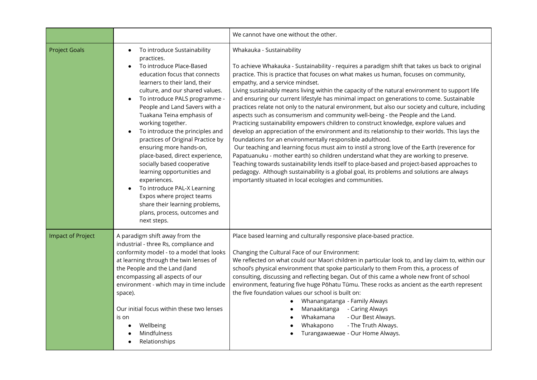|                          |                                                                                                                                                                                                                                                                                                                                                                                                                                                                                                                                                                                                                                                                            | We cannot have one without the other.                                                                                                                                                                                                                                                                                                                                                                                                                                                                                                                                                                                                                                                                                                                                                                                                                                                                                                                                                                                                                                                                                                                                                                                                                                                                                                                     |
|--------------------------|----------------------------------------------------------------------------------------------------------------------------------------------------------------------------------------------------------------------------------------------------------------------------------------------------------------------------------------------------------------------------------------------------------------------------------------------------------------------------------------------------------------------------------------------------------------------------------------------------------------------------------------------------------------------------|-----------------------------------------------------------------------------------------------------------------------------------------------------------------------------------------------------------------------------------------------------------------------------------------------------------------------------------------------------------------------------------------------------------------------------------------------------------------------------------------------------------------------------------------------------------------------------------------------------------------------------------------------------------------------------------------------------------------------------------------------------------------------------------------------------------------------------------------------------------------------------------------------------------------------------------------------------------------------------------------------------------------------------------------------------------------------------------------------------------------------------------------------------------------------------------------------------------------------------------------------------------------------------------------------------------------------------------------------------------|
| <b>Project Goals</b>     | To introduce Sustainability<br>$\bullet$<br>practices.<br>To introduce Place-Based<br>education focus that connects<br>learners to their land, their<br>culture, and our shared values.<br>To introduce PALS programme -<br>People and Land Savers with a<br>Tuakana Teina emphasis of<br>working together.<br>To introduce the principles and<br>practices of Original Practice by<br>ensuring more hands-on,<br>place-based, direct experience,<br>socially based cooperative<br>learning opportunities and<br>experiences.<br>To introduce PAL-X Learning<br>Expos where project teams<br>share their learning problems,<br>plans, process, outcomes and<br>next steps. | Whakauka - Sustainability<br>To achieve Whakauka - Sustainability - requires a paradigm shift that takes us back to original<br>practice. This is practice that focuses on what makes us human, focuses on community,<br>empathy, and a service mindset.<br>Living sustainably means living within the capacity of the natural environment to support life<br>and ensuring our current lifestyle has minimal impact on generations to come. Sustainable<br>practices relate not only to the natural environment, but also our society and culture, including<br>aspects such as consumerism and community well-being - the People and the Land.<br>Practicing sustainability empowers children to construct knowledge, explore values and<br>develop an appreciation of the environment and its relationship to their worlds. This lays the<br>foundations for an environmentally responsible adulthood.<br>Our teaching and learning focus must aim to instil a strong love of the Earth (reverence for<br>Papatuanuku - mother earth) so children understand what they are working to preserve.<br>Teaching towards sustainability lends itself to place-based and project-based approaches to<br>pedagogy. Although sustainability is a global goal, its problems and solutions are always<br>importantly situated in local ecologies and communities. |
| <b>Impact of Project</b> | A paradigm shift away from the<br>industrial - three Rs, compliance and<br>conformity model - to a model that looks<br>at learning through the twin lenses of<br>the People and the Land (land<br>encompassing all aspects of our<br>environment - which may in time include<br>space).<br>Our initial focus within these two lenses<br>is on<br>Wellbeing<br>Mindfulness<br>Relationships                                                                                                                                                                                                                                                                                 | Place based learning and culturally responsive place-based practice.<br>Changing the Cultural Face of our Environment:<br>We reflected on what could our Maori children in particular look to, and lay claim to, within our<br>school's physical environment that spoke particularly to them From this, a process of<br>consulting, discussing and reflecting began. Out of this came a whole new front of school<br>environment, featuring five huge Pōhatu Tūmu. These rocks as ancient as the earth represent<br>the five foundation values our school is built on:<br>Whanangatanga - Family Always<br>- Caring Always<br>Manaakitanga<br>Whakamana<br>- Our Best Always.<br>Whakapono<br>- The Truth Always.<br>Turangawaewae - Our Home Always.                                                                                                                                                                                                                                                                                                                                                                                                                                                                                                                                                                                                     |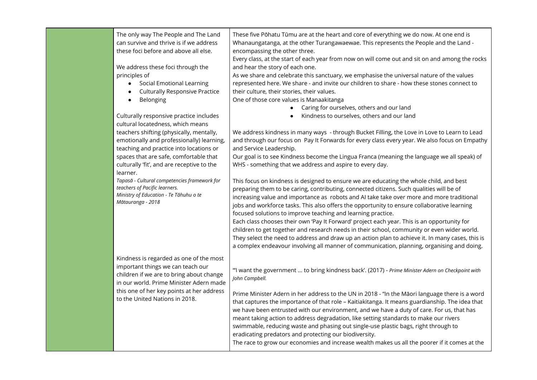| The only way The People and The Land<br>can survive and thrive is if we address<br>these foci before and above all else.<br>We address these foci through the<br>principles of<br>Social Emotional Learning<br>$\bullet$<br><b>Culturally Responsive Practice</b><br>Belonging<br>$\bullet$ | These five Pōhatu Tūmu are at the heart and core of everything we do now. At one end is<br>Whanaungatanga, at the other Turangawaewae. This represents the People and the Land -<br>encompassing the other three.<br>Every class, at the start of each year from now on will come out and sit on and among the rocks<br>and hear the story of each one.<br>As we share and celebrate this sanctuary, we emphasise the universal nature of the values<br>represented here. We share - and invite our children to share - how these stones connect to<br>their culture, their stories, their values.<br>One of those core values is Manaakitanga                                                                                                                                                                                                                                                                                                                                                             |
|---------------------------------------------------------------------------------------------------------------------------------------------------------------------------------------------------------------------------------------------------------------------------------------------|------------------------------------------------------------------------------------------------------------------------------------------------------------------------------------------------------------------------------------------------------------------------------------------------------------------------------------------------------------------------------------------------------------------------------------------------------------------------------------------------------------------------------------------------------------------------------------------------------------------------------------------------------------------------------------------------------------------------------------------------------------------------------------------------------------------------------------------------------------------------------------------------------------------------------------------------------------------------------------------------------------|
| Culturally responsive practice includes<br>cultural locatedness, which means<br>teachers shifting (physically, mentally,<br>emotionally and professionally) learning,<br>teaching and practice into locations or                                                                            | Caring for ourselves, others and our land<br>$\bullet$<br>Kindness to ourselves, others and our land<br>We address kindness in many ways - through Bucket Filling, the Love in Love to Learn to Lead<br>and through our focus on Pay It Forwards for every class every year. We also focus on Empathy<br>and Service Leadership.                                                                                                                                                                                                                                                                                                                                                                                                                                                                                                                                                                                                                                                                           |
| spaces that are safe, comfortable that<br>culturally 'fit', and are receptive to the<br>learner.<br>Tapasā - Cultural competencies framework for<br>teachers of Pacific learners.<br>Ministry of Education - Te Tāhuhu o te<br>Mātauranga - 2018                                            | Our goal is to see Kindness become the Lingua Franca (meaning the language we all speak) of<br>WHS - something that we address and aspire to every day.<br>This focus on kindness is designed to ensure we are educating the whole child, and best<br>preparing them to be caring, contributing, connected citizens. Such qualities will be of<br>increasing value and importance as robots and AI take take over more and more traditional<br>jobs and workforce tasks. This also offers the opportunity to ensure collaborative learning<br>focused solutions to improve teaching and learning practice.<br>Each class chooses their own 'Pay It Forward' project each year. This is an opportunity for<br>children to get together and research needs in their school, community or even wider world.<br>They select the need to address and draw up an action plan to achieve it. In many cases, this is<br>a complex endeavour involving all manner of communication, planning, organising and doing. |
| Kindness is regarded as one of the most<br>important things we can teach our<br>children if we are to bring about change<br>in our world. Prime Minister Adern made<br>this one of her key points at her address<br>to the United Nations in 2018.                                          | "I want the government  to bring kindness back'. (2017) - Prime Minister Adern on Checkpoint with<br>John Campbell.<br>Prime Minister Adern in her address to the UN in 2018 - "In the Māori language there is a word<br>that captures the importance of that role - Kaitiakitanga. It means guardianship. The idea that<br>we have been entrusted with our environment, and we have a duty of care. For us, that has<br>meant taking action to address degradation, like setting standards to make our rivers<br>swimmable, reducing waste and phasing out single-use plastic bags, right through to<br>eradicating predators and protecting our biodiversity.<br>The race to grow our economies and increase wealth makes us all the poorer if it comes at the                                                                                                                                                                                                                                           |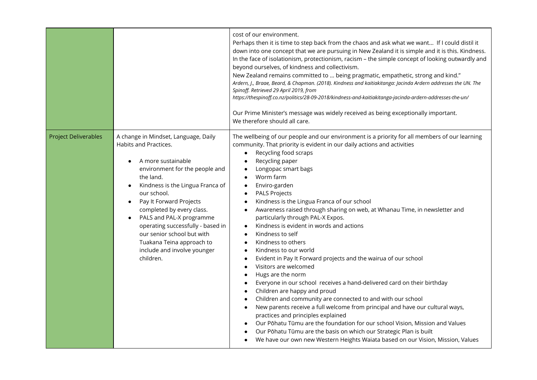|                             |                                                                                                                                                                                                                                                                                                                                                                                                                                    | cost of our environment.<br>Perhaps then it is time to step back from the chaos and ask what we want If I could distil it<br>down into one concept that we are pursuing in New Zealand it is simple and it is this. Kindness.<br>In the face of isolationism, protectionism, racism - the simple concept of looking outwardly and<br>beyond ourselves, of kindness and collectivism.<br>New Zealand remains committed to  being pragmatic, empathetic, strong and kind."<br>Ardern, J., Braae, Beard, & Chapman. (2018). Kindness and kaitiakitanga: Jacinda Ardern addresses the UN. The<br>Spinoff. Retrieved 29 April 2019, from<br>https://thespinoff.co.nz/politics/28-09-2018/kindness-and-kaitiakitanga-jacinda-ardern-addresses-the-un/<br>Our Prime Minister's message was widely received as being exceptionally important.<br>We therefore should all care.                                                                                                                                                                                                                                                                                                                                                                                                                                                                                                                                                                                                                                            |
|-----------------------------|------------------------------------------------------------------------------------------------------------------------------------------------------------------------------------------------------------------------------------------------------------------------------------------------------------------------------------------------------------------------------------------------------------------------------------|-------------------------------------------------------------------------------------------------------------------------------------------------------------------------------------------------------------------------------------------------------------------------------------------------------------------------------------------------------------------------------------------------------------------------------------------------------------------------------------------------------------------------------------------------------------------------------------------------------------------------------------------------------------------------------------------------------------------------------------------------------------------------------------------------------------------------------------------------------------------------------------------------------------------------------------------------------------------------------------------------------------------------------------------------------------------------------------------------------------------------------------------------------------------------------------------------------------------------------------------------------------------------------------------------------------------------------------------------------------------------------------------------------------------------------------------------------------------------------------------------------------------|
| <b>Project Deliverables</b> | A change in Mindset, Language, Daily<br>Habits and Practices.<br>A more sustainable<br>environment for the people and<br>the land.<br>Kindness is the Lingua Franca of<br>our school.<br>Pay It Forward Projects<br>completed by every class.<br>PALS and PAL-X programme<br>$\bullet$<br>operating successfully - based in<br>our senior school but with<br>Tuakana Teina approach to<br>include and involve younger<br>children. | The wellbeing of our people and our environment is a priority for all members of our learning<br>community. That priority is evident in our daily actions and activities<br>Recycling food scraps<br>$\bullet$<br>Recycling paper<br>$\bullet$<br>Longopac smart bags<br>$\bullet$<br>Worm farm<br>$\bullet$<br>Enviro-garden<br>$\bullet$<br><b>PALS Projects</b><br>$\bullet$<br>Kindness is the Lingua Franca of our school<br>$\bullet$<br>Awareness raised through sharing on web, at Whanau Time, in newsletter and<br>$\bullet$<br>particularly through PAL-X Expos.<br>Kindness is evident in words and actions<br>Kindness to self<br>$\bullet$<br>Kindness to others<br>$\bullet$<br>Kindness to our world<br>$\bullet$<br>Evident in Pay It Forward projects and the wairua of our school<br>$\bullet$<br>Visitors are welcomed<br>$\bullet$<br>Hugs are the norm<br>$\bullet$<br>Everyone in our school receives a hand-delivered card on their birthday<br>$\bullet$<br>Children are happy and proud<br>$\bullet$<br>Children and community are connected to and with our school<br>$\bullet$<br>New parents receive a full welcome from principal and have our cultural ways,<br>$\bullet$<br>practices and principles explained<br>Our Pōhatu Tūmu are the foundation for our school Vision, Mission and Values<br>$\bullet$<br>Our Pōhatu Tūmu are the basis on which our Strategic Plan is built<br>We have our own new Western Heights Waiata based on our Vision, Mission, Values<br>$\bullet$ |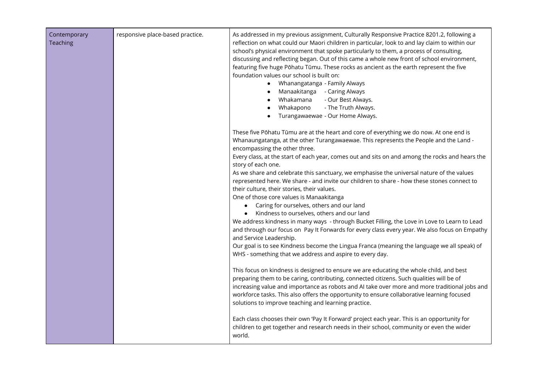| Contemporary<br>Teaching | responsive place-based practice. | As addressed in my previous assignment, Culturally Responsive Practice 8201.2, following a<br>reflection on what could our Maori children in particular, look to and lay claim to within our<br>school's physical environment that spoke particularly to them, a process of consulting,<br>discussing and reflecting began. Out of this came a whole new front of school environment,<br>featuring five huge Pōhatu Tūmu. These rocks as ancient as the earth represent the five<br>foundation values our school is built on:<br>Whanangatanga - Family Always<br>Manaakitanga - Caring Always<br>Whakamana<br>- Our Best Always.<br>- The Truth Always.<br>Whakapono<br>Turangawaewae - Our Home Always.                                                                                                                                                                                                                                                                                                                                                                                                                        |
|--------------------------|----------------------------------|----------------------------------------------------------------------------------------------------------------------------------------------------------------------------------------------------------------------------------------------------------------------------------------------------------------------------------------------------------------------------------------------------------------------------------------------------------------------------------------------------------------------------------------------------------------------------------------------------------------------------------------------------------------------------------------------------------------------------------------------------------------------------------------------------------------------------------------------------------------------------------------------------------------------------------------------------------------------------------------------------------------------------------------------------------------------------------------------------------------------------------|
|                          |                                  | These five Pōhatu Tūmu are at the heart and core of everything we do now. At one end is<br>Whanaungatanga, at the other Turangawaewae. This represents the People and the Land -<br>encompassing the other three.<br>Every class, at the start of each year, comes out and sits on and among the rocks and hears the<br>story of each one.<br>As we share and celebrate this sanctuary, we emphasise the universal nature of the values<br>represented here. We share - and invite our children to share - how these stones connect to<br>their culture, their stories, their values.<br>One of those core values is Manaakitanga<br>Caring for ourselves, others and our land<br>Kindness to ourselves, others and our land<br>$\bullet$<br>We address kindness in many ways - through Bucket Filling, the Love in Love to Learn to Lead<br>and through our focus on Pay It Forwards for every class every year. We also focus on Empathy<br>and Service Leadership.<br>Our goal is to see Kindness become the Lingua Franca (meaning the language we all speak) of<br>WHS - something that we address and aspire to every day. |
|                          |                                  | This focus on kindness is designed to ensure we are educating the whole child, and best<br>preparing them to be caring, contributing, connected citizens. Such qualities will be of<br>increasing value and importance as robots and AI take over more and more traditional jobs and<br>workforce tasks. This also offers the opportunity to ensure collaborative learning focused<br>solutions to improve teaching and learning practice.                                                                                                                                                                                                                                                                                                                                                                                                                                                                                                                                                                                                                                                                                       |
|                          |                                  | Each class chooses their own 'Pay It Forward' project each year. This is an opportunity for<br>children to get together and research needs in their school, community or even the wider<br>world.                                                                                                                                                                                                                                                                                                                                                                                                                                                                                                                                                                                                                                                                                                                                                                                                                                                                                                                                |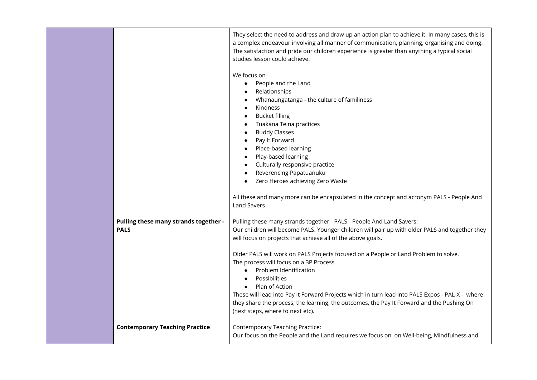|                                       | They select the need to address and draw up an action plan to achieve it. In many cases, this is<br>a complex endeavour involving all manner of communication, planning, organising and doing.<br>The satisfaction and pride our children experience is greater than anything a typical social<br>studies lesson could achieve.<br>We focus on |
|---------------------------------------|------------------------------------------------------------------------------------------------------------------------------------------------------------------------------------------------------------------------------------------------------------------------------------------------------------------------------------------------|
|                                       | People and the Land<br>$\bullet$                                                                                                                                                                                                                                                                                                               |
|                                       | Relationships                                                                                                                                                                                                                                                                                                                                  |
|                                       | Whanaungatanga - the culture of familiness                                                                                                                                                                                                                                                                                                     |
|                                       | Kindness                                                                                                                                                                                                                                                                                                                                       |
|                                       | <b>Bucket filling</b><br>Tuakana Teina practices                                                                                                                                                                                                                                                                                               |
|                                       | <b>Buddy Classes</b>                                                                                                                                                                                                                                                                                                                           |
|                                       | Pay It Forward                                                                                                                                                                                                                                                                                                                                 |
|                                       | Place-based learning                                                                                                                                                                                                                                                                                                                           |
|                                       | Play-based learning                                                                                                                                                                                                                                                                                                                            |
|                                       | Culturally responsive practice<br>Reverencing Papatuanuku                                                                                                                                                                                                                                                                                      |
|                                       | Zero Heroes achieving Zero Waste                                                                                                                                                                                                                                                                                                               |
|                                       |                                                                                                                                                                                                                                                                                                                                                |
|                                       | All these and many more can be encapsulated in the concept and acronym PALS - People And                                                                                                                                                                                                                                                       |
|                                       | <b>Land Savers</b>                                                                                                                                                                                                                                                                                                                             |
| Pulling these many strands together - | Pulling these many strands together - PALS - People And Land Savers:                                                                                                                                                                                                                                                                           |
| <b>PALS</b>                           | Our children will become PALS. Younger children will pair up with older PALS and together they                                                                                                                                                                                                                                                 |
|                                       | will focus on projects that achieve all of the above goals.                                                                                                                                                                                                                                                                                    |
|                                       | Older PALS will work on PALS Projects focused on a People or Land Problem to solve.                                                                                                                                                                                                                                                            |
|                                       | The process will focus on a 3P Process                                                                                                                                                                                                                                                                                                         |
|                                       | Problem Identification<br>$\bullet$                                                                                                                                                                                                                                                                                                            |
|                                       | Possibilities<br>$\bullet$<br>Plan of Action<br>$\bullet$                                                                                                                                                                                                                                                                                      |
|                                       | These will lead into Pay It Forward Projects which in turn lead into PALS Expos - PAL-X - where                                                                                                                                                                                                                                                |
|                                       | they share the process, the learning, the outcomes, the Pay It Forward and the Pushing On                                                                                                                                                                                                                                                      |
|                                       | (next steps, where to next etc).                                                                                                                                                                                                                                                                                                               |
| <b>Contemporary Teaching Practice</b> | <b>Contemporary Teaching Practice:</b>                                                                                                                                                                                                                                                                                                         |
|                                       | Our focus on the People and the Land requires we focus on on Well-being, Mindfulness and                                                                                                                                                                                                                                                       |
|                                       |                                                                                                                                                                                                                                                                                                                                                |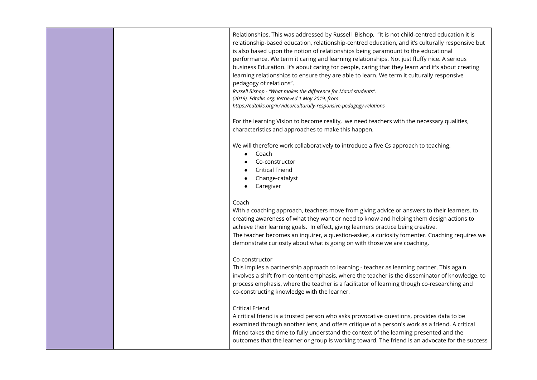|  | Relationships. This was addressed by Russell Bishop, "It is not child-centred education it is<br>relationship-based education, relationship-centred education, and it's culturally responsive but<br>is also based upon the notion of relationships being paramount to the educational<br>performance. We term it caring and learning relationships. Not just fluffy nice. A serious<br>business Education. It's about caring for people, caring that they learn and it's about creating<br>learning relationships to ensure they are able to learn. We term it culturally responsive<br>pedagogy of relations".<br>Russell Bishop - "What makes the difference for Maori students".<br>(2019). Edtalks.org. Retrieved 1 May 2019, from<br>https://edtalks.org/#/video/culturally-responsive-pedagogy-relations<br>For the learning Vision to become reality, we need teachers with the necessary qualities,<br>characteristics and approaches to make this happen.<br>We will therefore work collaboratively to introduce a five Cs approach to teaching.<br>Coach<br>Co-constructor<br><b>Critical Friend</b><br>Change-catalyst<br>Caregiver |
|--|-------------------------------------------------------------------------------------------------------------------------------------------------------------------------------------------------------------------------------------------------------------------------------------------------------------------------------------------------------------------------------------------------------------------------------------------------------------------------------------------------------------------------------------------------------------------------------------------------------------------------------------------------------------------------------------------------------------------------------------------------------------------------------------------------------------------------------------------------------------------------------------------------------------------------------------------------------------------------------------------------------------------------------------------------------------------------------------------------------------------------------------------------|
|  | Coach<br>With a coaching approach, teachers move from giving advice or answers to their learners, to<br>creating awareness of what they want or need to know and helping them design actions to<br>achieve their learning goals. In effect, giving learners practice being creative.<br>The teacher becomes an inquirer, a question-asker, a curiosity fomenter. Coaching requires we<br>demonstrate curiosity about what is going on with those we are coaching.                                                                                                                                                                                                                                                                                                                                                                                                                                                                                                                                                                                                                                                                               |
|  | Co-constructor<br>This implies a partnership approach to learning - teacher as learning partner. This again<br>involves a shift from content emphasis, where the teacher is the disseminator of knowledge, to<br>process emphasis, where the teacher is a facilitator of learning though co-researching and<br>co-constructing knowledge with the learner.                                                                                                                                                                                                                                                                                                                                                                                                                                                                                                                                                                                                                                                                                                                                                                                      |
|  | <b>Critical Friend</b><br>A critical friend is a trusted person who asks provocative questions, provides data to be<br>examined through another lens, and offers critique of a person's work as a friend. A critical<br>friend takes the time to fully understand the context of the learning presented and the<br>outcomes that the learner or group is working toward. The friend is an advocate for the success                                                                                                                                                                                                                                                                                                                                                                                                                                                                                                                                                                                                                                                                                                                              |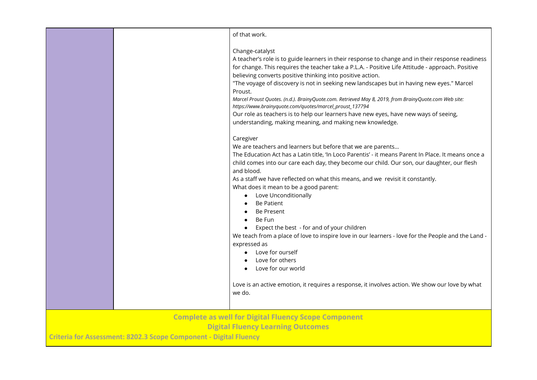|                                                                                                         |  | of that work.                                                                                                                                                                                                                                                                                                                                                                                                                                                                                                                                                                                                                                                                                                                                                                                                                                            |
|---------------------------------------------------------------------------------------------------------|--|----------------------------------------------------------------------------------------------------------------------------------------------------------------------------------------------------------------------------------------------------------------------------------------------------------------------------------------------------------------------------------------------------------------------------------------------------------------------------------------------------------------------------------------------------------------------------------------------------------------------------------------------------------------------------------------------------------------------------------------------------------------------------------------------------------------------------------------------------------|
|                                                                                                         |  | Change-catalyst<br>A teacher's role is to guide learners in their response to change and in their response readiness<br>for change. This requires the teacher take a P.L.A. - Positive Life Attitude - approach. Positive<br>believing converts positive thinking into positive action.<br>"The voyage of discovery is not in seeking new landscapes but in having new eyes." Marcel<br>Proust.<br>Marcel Proust Quotes. (n.d.). BrainyQuote.com. Retrieved May 8, 2019, from BrainyQuote.com Web site:<br>https://www.brainyquote.com/quotes/marcel_proust_137794<br>Our role as teachers is to help our learners have new eyes, have new ways of seeing,<br>understanding, making meaning, and making new knowledge.                                                                                                                                   |
|                                                                                                         |  | Caregiver<br>We are teachers and learners but before that we are parents<br>The Education Act has a Latin title, 'In Loco Parentis' - it means Parent In Place. It means once a<br>child comes into our care each day, they become our child. Our son, our daughter, our flesh<br>and blood.<br>As a staff we have reflected on what this means, and we revisit it constantly.<br>What does it mean to be a good parent:<br>Love Unconditionally<br>$\bullet$<br>Be Patient<br><b>Be Present</b><br>Be Fun<br>Expect the best - for and of your children<br>We teach from a place of love to inspire love in our learners - love for the People and the Land -<br>expressed as<br>Love for ourself<br>Love for others<br>Love for our world<br>Love is an active emotion, it requires a response, it involves action. We show our love by what<br>we do. |
| <b>Complete as well for Digital Fluency Scope Component</b><br><b>Digital Fluency Learning Outcomes</b> |  |                                                                                                                                                                                                                                                                                                                                                                                                                                                                                                                                                                                                                                                                                                                                                                                                                                                          |
| Criteria for Assessment: 8202.3 Scope Component - Digital Fluency                                       |  |                                                                                                                                                                                                                                                                                                                                                                                                                                                                                                                                                                                                                                                                                                                                                                                                                                                          |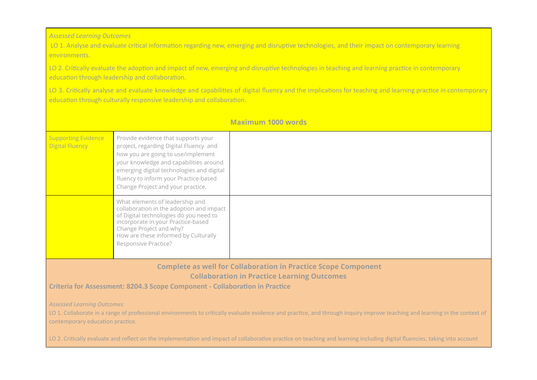*Assessed Learning Outcomes*

LO 1. Analyse and evaluate critical information regarding new, emerging and disruptive technologies, and their impact on contemporary learning environments.

LO 2. Critically evaluate the adoption and impact of new, emerging and disruptive technologies in teaching and learning practice in contemporary education through leadership and collaboration.

LO 3. Critically analyse and evaluate knowledge and capabilities of digital fluency and the implications for teaching and learning practice in contemporary education through culturally responsive leadership and collaboration.

|                                                                                                                                                                                                                                                      |                                                                                                                                                                                                                                                                                          | <b>Maximum 1000 words</b> |
|------------------------------------------------------------------------------------------------------------------------------------------------------------------------------------------------------------------------------------------------------|------------------------------------------------------------------------------------------------------------------------------------------------------------------------------------------------------------------------------------------------------------------------------------------|---------------------------|
| <b>Supporting Evidence</b><br><b>Digital Fluency</b>                                                                                                                                                                                                 | Provide evidence that supports your<br>project, regarding Digital Fluency and<br>how you are going to use/implement<br>your knowledge and capabilities around<br>emerging digital technologies and digital<br>fluency to inform your Practice-based<br>Change Project and your practice. |                           |
|                                                                                                                                                                                                                                                      | What elements of leadership and<br>collaboration in the adoption and impact<br>of Digital technologies do you need to<br>incorporate in your Practice-based<br>Change Project and why?<br>How are these informed by Culturally<br>Responsive Practice?                                   |                           |
| <b>Complete as well for Collaboration in Practice Scope Component</b><br><b>Collaboration in Practice Learning Outcomes</b><br>Criteria for Assessment: 8204.3 Scope Component - Collaboration in Practice                                           |                                                                                                                                                                                                                                                                                          |                           |
| <b>Assessed Learning Outcomes</b><br>LO 1. Collaborate in a range of professional environments to critically evaluate evidence and practice, and through inquiry improve teaching and learning in the context of<br>contemporary education practice. |                                                                                                                                                                                                                                                                                          |                           |
| LO 2. Critically evaluate and reflect on the implementation and impact of collaborative practice on teaching and learning including digital fluencies, taking into account                                                                           |                                                                                                                                                                                                                                                                                          |                           |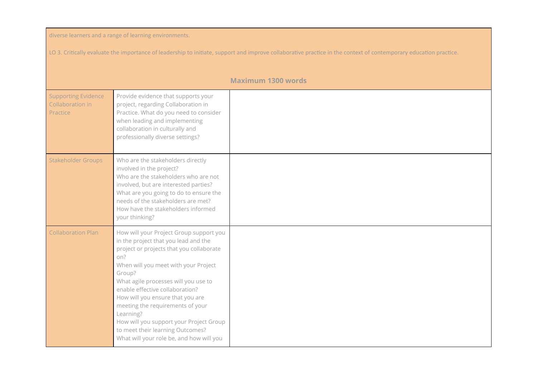| diverse learners and a range of learning environments.                                                                                                            |                                                                                                                                                                                                                                                                                                                                                                                                                                                                                 |                           |
|-------------------------------------------------------------------------------------------------------------------------------------------------------------------|---------------------------------------------------------------------------------------------------------------------------------------------------------------------------------------------------------------------------------------------------------------------------------------------------------------------------------------------------------------------------------------------------------------------------------------------------------------------------------|---------------------------|
| LO 3. Critically evaluate the importance of leadership to initiate, support and improve collaborative practice in the context of contemporary education practice. |                                                                                                                                                                                                                                                                                                                                                                                                                                                                                 |                           |
|                                                                                                                                                                   |                                                                                                                                                                                                                                                                                                                                                                                                                                                                                 | <b>Maximum 1300 words</b> |
| <b>Supporting Evidence</b><br>Collaboration in<br>Practice                                                                                                        | Provide evidence that supports your<br>project, regarding Collaboration in<br>Practice. What do you need to consider<br>when leading and implementing<br>collaboration in culturally and<br>professionally diverse settings?                                                                                                                                                                                                                                                    |                           |
| Stakeholder Groups                                                                                                                                                | Who are the stakeholders directly<br>involved in the project?<br>Who are the stakeholders who are not<br>involved, but are interested parties?<br>What are you going to do to ensure the<br>needs of the stakeholders are met?<br>How have the stakeholders informed<br>your thinking?                                                                                                                                                                                          |                           |
| <b>Collaboration Plan</b>                                                                                                                                         | How will your Project Group support you<br>in the project that you lead and the<br>project or projects that you collaborate<br>on?<br>When will you meet with your Project<br>Group?<br>What agile processes will you use to<br>enable effective collaboration?<br>How will you ensure that you are<br>meeting the requirements of your<br>Learning?<br>How will you support your Project Group<br>to meet their learning Outcomes?<br>What will your role be, and how will you |                           |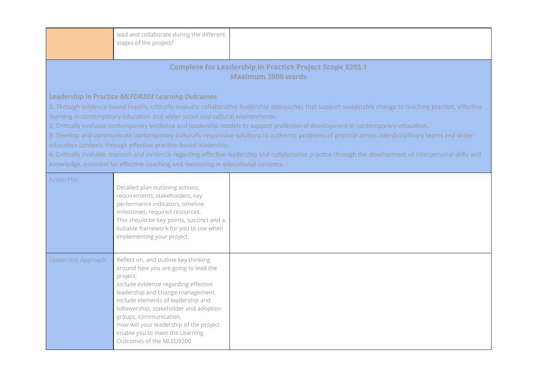|                                                                                                                                                                                                                                                                                                                                                                                                                                                                                                                                                                                                                                                                                                                                                                                                                                                                                                                            | lead and collaborate during the different<br>stages of the project?                                                                                                                                                                                                                                                                                                                       |  |  |  |
|----------------------------------------------------------------------------------------------------------------------------------------------------------------------------------------------------------------------------------------------------------------------------------------------------------------------------------------------------------------------------------------------------------------------------------------------------------------------------------------------------------------------------------------------------------------------------------------------------------------------------------------------------------------------------------------------------------------------------------------------------------------------------------------------------------------------------------------------------------------------------------------------------------------------------|-------------------------------------------------------------------------------------------------------------------------------------------------------------------------------------------------------------------------------------------------------------------------------------------------------------------------------------------------------------------------------------------|--|--|--|
| <b>Complete for Leadership in Practice Project Scope 8203.1</b><br><b>Maximum 2000 words</b>                                                                                                                                                                                                                                                                                                                                                                                                                                                                                                                                                                                                                                                                                                                                                                                                                               |                                                                                                                                                                                                                                                                                                                                                                                           |  |  |  |
| <b>Leadership in Practice MLED8203 Learning Outcomes</b><br>1. Through evidence-based inquiry, critically evaluate collaborative leadership approaches that support sustainable change to teaching practice, effective<br>learning in contemporary education and wider social and cultural environments.<br>2. Critically evaluate contemporary evidence and leadership models to support professional development in contemporary education.<br>3. Develop and communicate contemporary culturally responsive solutions to authentic problems of practice across interdisciplinary teams and wider<br>education contexts through effective practice-based leadership.<br>4. Critically evaluate research and evidence regarding effective leadership and collaborative practice through the development of interpersonal skills and<br>knowledge, essential for effective coaching and mentoring in educational contexts. |                                                                                                                                                                                                                                                                                                                                                                                           |  |  |  |
| <b>Action Plan</b>                                                                                                                                                                                                                                                                                                                                                                                                                                                                                                                                                                                                                                                                                                                                                                                                                                                                                                         | Detailed plan outlining actions,<br>requirements, stakeholders, key<br>performance indicators, timeline,<br>milestones, required resources.<br>This should be key points, succinct and a<br>suitable framework for you to use when<br>implementing your project.                                                                                                                          |  |  |  |
| Leadership Approach                                                                                                                                                                                                                                                                                                                                                                                                                                                                                                                                                                                                                                                                                                                                                                                                                                                                                                        | Reflect on, and outline key thinking<br>around how you are going to lead the<br>project.<br>Include evidence regarding effective<br>leadership and change management.<br>Include elements of leadership and<br>followership, stakeholder and adoption<br>groups, communication.<br>How will your leadership of the project<br>enable you to meet the Learning<br>Outcomes of the MLED9200 |  |  |  |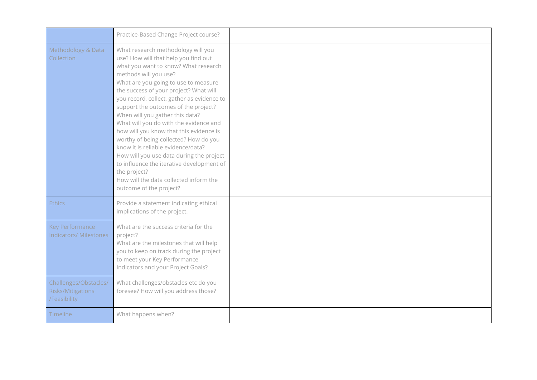|                                                            | Practice-Based Change Project course?                                                                                                                                                                                                                                                                                                                                                                                                                                                                                                                                                                                                                                                                    |  |
|------------------------------------------------------------|----------------------------------------------------------------------------------------------------------------------------------------------------------------------------------------------------------------------------------------------------------------------------------------------------------------------------------------------------------------------------------------------------------------------------------------------------------------------------------------------------------------------------------------------------------------------------------------------------------------------------------------------------------------------------------------------------------|--|
| Methodology & Data<br>Collection                           | What research methodology will you<br>use? How will that help you find out<br>what you want to know? What research<br>methods will you use?<br>What are you going to use to measure<br>the success of your project? What will<br>you record, collect, gather as evidence to<br>support the outcomes of the project?<br>When will you gather this data?<br>What will you do with the evidence and<br>how will you know that this evidence is<br>worthy of being collected? How do you<br>know it is reliable evidence/data?<br>How will you use data during the project<br>to influence the iterative development of<br>the project?<br>How will the data collected inform the<br>outcome of the project? |  |
| Ethics                                                     | Provide a statement indicating ethical<br>implications of the project.                                                                                                                                                                                                                                                                                                                                                                                                                                                                                                                                                                                                                                   |  |
| Key Performance<br>Indicators/ Milestones                  | What are the success criteria for the<br>project?<br>What are the milestones that will help<br>you to keep on track during the project<br>to meet your Key Performance<br>Indicators and your Project Goals?                                                                                                                                                                                                                                                                                                                                                                                                                                                                                             |  |
| Challenges/Obstacles/<br>Risks/Mitigations<br>/Feasibility | What challenges/obstacles etc do you<br>foresee? How will you address those?                                                                                                                                                                                                                                                                                                                                                                                                                                                                                                                                                                                                                             |  |
| Timeline                                                   | What happens when?                                                                                                                                                                                                                                                                                                                                                                                                                                                                                                                                                                                                                                                                                       |  |